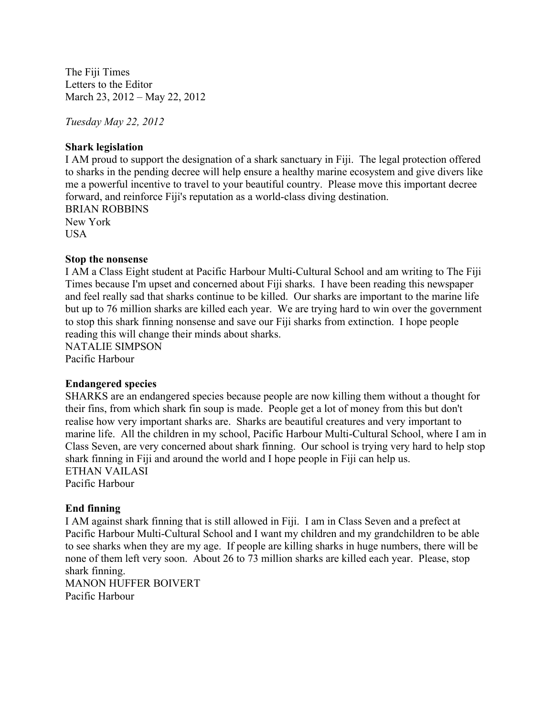The Fiji Times Letters to the Editor March 23, 2012 – May 22, 2012

*Tuesday May 22, 2012*

## **Shark legislation**

I AM proud to support the designation of a shark sanctuary in Fiji. The legal protection offered to sharks in the pending decree will help ensure a healthy marine ecosystem and give divers like me a powerful incentive to travel to your beautiful country. Please move this important decree forward, and reinforce Fiji's reputation as a world-class diving destination. BRIAN ROBBINS New York USA

### **Stop the nonsense**

I AM a Class Eight student at Pacific Harbour Multi-Cultural School and am writing to The Fiji Times because I'm upset and concerned about Fiji sharks. I have been reading this newspaper and feel really sad that sharks continue to be killed. Our sharks are important to the marine life but up to 76 million sharks are killed each year. We are trying hard to win over the government to stop this shark finning nonsense and save our Fiji sharks from extinction. I hope people reading this will change their minds about sharks.

NATALIE SIMPSON Pacific Harbour

# **Endangered species**

SHARKS are an endangered species because people are now killing them without a thought for their fins, from which shark fin soup is made. People get a lot of money from this but don't realise how very important sharks are. Sharks are beautiful creatures and very important to marine life. All the children in my school, Pacific Harbour Multi-Cultural School, where I am in Class Seven, are very concerned about shark finning. Our school is trying very hard to help stop shark finning in Fiji and around the world and I hope people in Fiji can help us. ETHAN VAILASI Pacific Harbour

### **End finning**

I AM against shark finning that is still allowed in Fiji. I am in Class Seven and a prefect at Pacific Harbour Multi-Cultural School and I want my children and my grandchildren to be able to see sharks when they are my age. If people are killing sharks in huge numbers, there will be none of them left very soon. About 26 to 73 million sharks are killed each year. Please, stop shark finning. MANON HUFFER BOIVERT

Pacific Harbour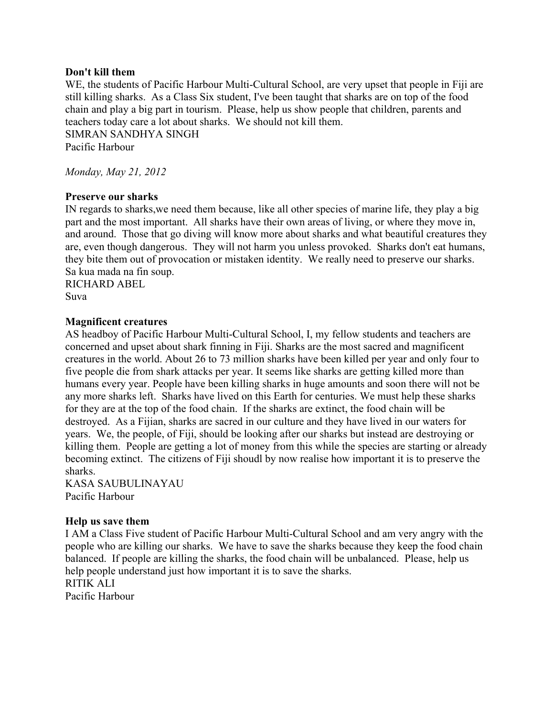## **Don't kill them**

WE, the students of Pacific Harbour Multi-Cultural School, are very upset that people in Fiji are still killing sharks. As a Class Six student, I've been taught that sharks are on top of the food chain and play a big part in tourism. Please, help us show people that children, parents and teachers today care a lot about sharks. We should not kill them. SIMRAN SANDHYA SINGH Pacific Harbour

*Monday, May 21, 2012*

## **Preserve our sharks**

IN regards to sharks,we need them because, like all other species of marine life, they play a big part and the most important. All sharks have their own areas of living, or where they move in, and around. Those that go diving will know more about sharks and what beautiful creatures they are, even though dangerous. They will not harm you unless provoked. Sharks don't eat humans, they bite them out of provocation or mistaken identity. We really need to preserve our sharks. Sa kua mada na fin soup. RICHARD ABEL

Suva

### **Magnificent creatures**

AS headboy of Pacific Harbour Multi-Cultural School, I, my fellow students and teachers are concerned and upset about shark finning in Fiji. Sharks are the most sacred and magnificent creatures in the world. About 26 to 73 million sharks have been killed per year and only four to five people die from shark attacks per year. It seems like sharks are getting killed more than humans every year. People have been killing sharks in huge amounts and soon there will not be any more sharks left. Sharks have lived on this Earth for centuries. We must help these sharks for they are at the top of the food chain. If the sharks are extinct, the food chain will be destroyed. As a Fijian, sharks are sacred in our culture and they have lived in our waters for years. We, the people, of Fiji, should be looking after our sharks but instead are destroying or killing them. People are getting a lot of money from this while the species are starting or already becoming extinct. The citizens of Fiji shoudl by now realise how important it is to preserve the sharks.

KASA SAUBULINAYAU Pacific Harbour

### **Help us save them**

I AM a Class Five student of Pacific Harbour Multi-Cultural School and am very angry with the people who are killing our sharks. We have to save the sharks because they keep the food chain balanced. If people are killing the sharks, the food chain will be unbalanced. Please, help us help people understand just how important it is to save the sharks. RITIK ALI Pacific Harbour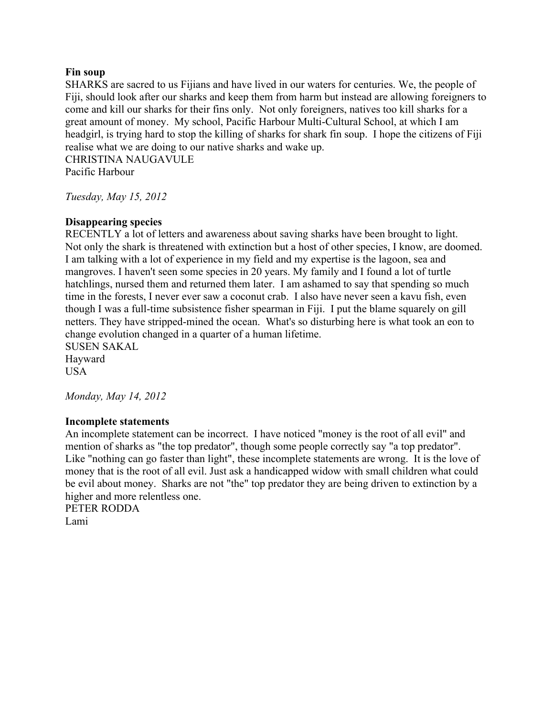# **Fin soup**

SHARKS are sacred to us Fijians and have lived in our waters for centuries. We, the people of Fiji, should look after our sharks and keep them from harm but instead are allowing foreigners to come and kill our sharks for their fins only. Not only foreigners, natives too kill sharks for a great amount of money. My school, Pacific Harbour Multi-Cultural School, at which I am headgirl, is trying hard to stop the killing of sharks for shark fin soup. I hope the citizens of Fiji realise what we are doing to our native sharks and wake up. CHRISTINA NAUGAVULE

Pacific Harbour

*Tuesday, May 15, 2012*

# **Disappearing species**

RECENTLY a lot of letters and awareness about saving sharks have been brought to light. Not only the shark is threatened with extinction but a host of other species, I know, are doomed. I am talking with a lot of experience in my field and my expertise is the lagoon, sea and mangroves. I haven't seen some species in 20 years. My family and I found a lot of turtle hatchlings, nursed them and returned them later. I am ashamed to say that spending so much time in the forests, I never ever saw a coconut crab. I also have never seen a kavu fish, even though I was a full-time subsistence fisher spearman in Fiji. I put the blame squarely on gill netters. They have stripped-mined the ocean. What's so disturbing here is what took an eon to change evolution changed in a quarter of a human lifetime. SUSEN SAKAL

Hayward USA

*Monday, May 14, 2012*

### **Incomplete statements**

An incomplete statement can be incorrect. I have noticed "money is the root of all evil" and mention of sharks as "the top predator", though some people correctly say "a top predator". Like "nothing can go faster than light", these incomplete statements are wrong. It is the love of money that is the root of all evil. Just ask a handicapped widow with small children what could be evil about money. Sharks are not "the" top predator they are being driven to extinction by a higher and more relentless one.

PETER RODDA Lami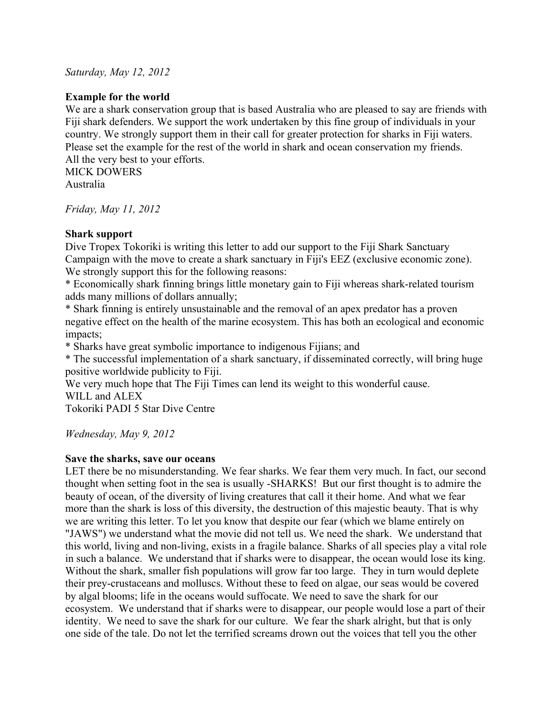*Saturday, May 12, 2012*

# **Example for the world**

We are a shark conservation group that is based Australia who are pleased to say are friends with Fiji shark defenders. We support the work undertaken by this fine group of individuals in your country. We strongly support them in their call for greater protection for sharks in Fiji waters. Please set the example for the rest of the world in shark and ocean conservation my friends. All the very best to your efforts.

MICK DOWERS Australia

*Friday, May 11, 2012*

## **Shark support**

Dive Tropex Tokoriki is writing this letter to add our support to the Fiji Shark Sanctuary Campaign with the move to create a shark sanctuary in Fiji's EEZ (exclusive economic zone). We strongly support this for the following reasons:

\* Economically shark finning brings little monetary gain to Fiji whereas shark-related tourism adds many millions of dollars annually;

\* Shark finning is entirely unsustainable and the removal of an apex predator has a proven negative effect on the health of the marine ecosystem. This has both an ecological and economic impacts;

\* Sharks have great symbolic importance to indigenous Fijians; and

\* The successful implementation of a shark sanctuary, if disseminated correctly, will bring huge positive worldwide publicity to Fiji.

We very much hope that The Fiji Times can lend its weight to this wonderful cause. WILL and ALEX

Tokoriki PADI 5 Star Dive Centre

*Wednesday, May 9, 2012*

### **Save the sharks, save our oceans**

LET there be no misunderstanding. We fear sharks. We fear them very much. In fact, our second thought when setting foot in the sea is usually -SHARKS! But our first thought is to admire the beauty of ocean, of the diversity of living creatures that call it their home. And what we fear more than the shark is loss of this diversity, the destruction of this majestic beauty. That is why we are writing this letter. To let you know that despite our fear (which we blame entirely on "JAWS") we understand what the movie did not tell us. We need the shark. We understand that this world, living and non-living, exists in a fragile balance. Sharks of all species play a vital role in such a balance. We understand that if sharks were to disappear, the ocean would lose its king. Without the shark, smaller fish populations will grow far too large. They in turn would deplete their prey-crustaceans and molluscs. Without these to feed on algae, our seas would be covered by algal blooms; life in the oceans would suffocate. We need to save the shark for our ecosystem. We understand that if sharks were to disappear, our people would lose a part of their identity. We need to save the shark for our culture. We fear the shark alright, but that is only one side of the tale. Do not let the terrified screams drown out the voices that tell you the other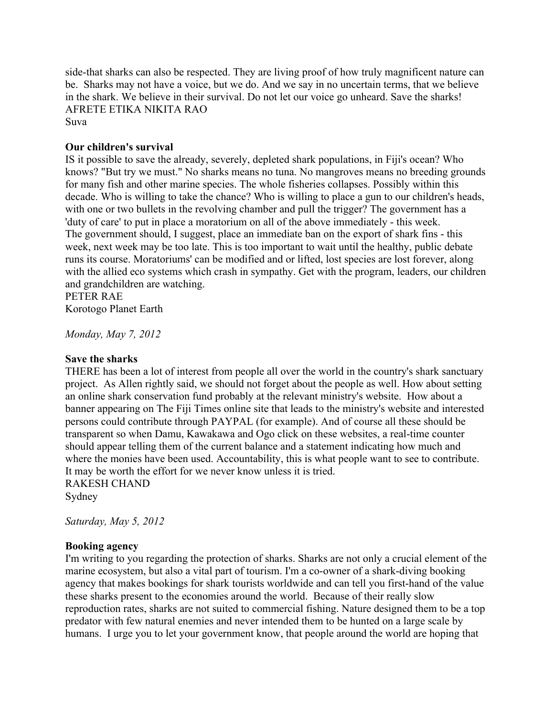side-that sharks can also be respected. They are living proof of how truly magnificent nature can be. Sharks may not have a voice, but we do. And we say in no uncertain terms, that we believe in the shark. We believe in their survival. Do not let our voice go unheard. Save the sharks! AFRETE ETIKA NIKITA RAO Suva

### **Our children's survival**

IS it possible to save the already, severely, depleted shark populations, in Fiji's ocean? Who knows? "But try we must." No sharks means no tuna. No mangroves means no breeding grounds for many fish and other marine species. The whole fisheries collapses. Possibly within this decade. Who is willing to take the chance? Who is willing to place a gun to our children's heads, with one or two bullets in the revolving chamber and pull the trigger? The government has a 'duty of care' to put in place a moratorium on all of the above immediately - this week. The government should, I suggest, place an immediate ban on the export of shark fins - this week, next week may be too late. This is too important to wait until the healthy, public debate runs its course. Moratoriums' can be modified and or lifted, lost species are lost forever, along with the allied eco systems which crash in sympathy. Get with the program, leaders, our children and grandchildren are watching.

PETER RAE

Korotogo Planet Earth

*Monday, May 7, 2012*

#### **Save the sharks**

THERE has been a lot of interest from people all over the world in the country's shark sanctuary project. As Allen rightly said, we should not forget about the people as well. How about setting an online shark conservation fund probably at the relevant ministry's website. How about a banner appearing on The Fiji Times online site that leads to the ministry's website and interested persons could contribute through PAYPAL (for example). And of course all these should be transparent so when Damu, Kawakawa and Ogo click on these websites, a real-time counter should appear telling them of the current balance and a statement indicating how much and where the monies have been used. Accountability, this is what people want to see to contribute. It may be worth the effort for we never know unless it is tried.

RAKESH CHAND Sydney

*Saturday, May 5, 2012*

#### **Booking agency**

I'm writing to you regarding the protection of sharks. Sharks are not only a crucial element of the marine ecosystem, but also a vital part of tourism. I'm a co-owner of a shark-diving booking agency that makes bookings for shark tourists worldwide and can tell you first-hand of the value these sharks present to the economies around the world. Because of their really slow reproduction rates, sharks are not suited to commercial fishing. Nature designed them to be a top predator with few natural enemies and never intended them to be hunted on a large scale by humans. I urge you to let your government know, that people around the world are hoping that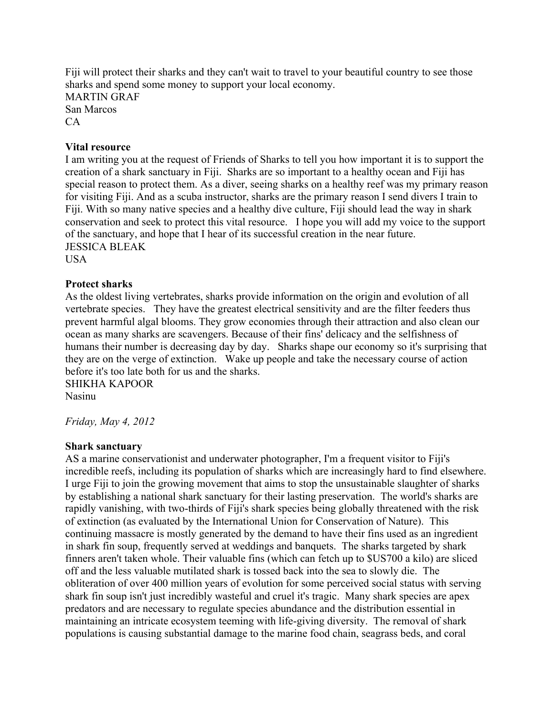Fiji will protect their sharks and they can't wait to travel to your beautiful country to see those sharks and spend some money to support your local economy. MARTIN GRAF San Marcos CA

## **Vital resource**

I am writing you at the request of Friends of Sharks to tell you how important it is to support the creation of a shark sanctuary in Fiji. Sharks are so important to a healthy ocean and Fiji has special reason to protect them. As a diver, seeing sharks on a healthy reef was my primary reason for visiting Fiji. And as a scuba instructor, sharks are the primary reason I send divers I train to Fiji. With so many native species and a healthy dive culture, Fiji should lead the way in shark conservation and seek to protect this vital resource. I hope you will add my voice to the support of the sanctuary, and hope that I hear of its successful creation in the near future. JESSICA BLEAK USA

### **Protect sharks**

As the oldest living vertebrates, sharks provide information on the origin and evolution of all vertebrate species. They have the greatest electrical sensitivity and are the filter feeders thus prevent harmful algal blooms. They grow economies through their attraction and also clean our ocean as many sharks are scavengers. Because of their fins' delicacy and the selfishness of humans their number is decreasing day by day. Sharks shape our economy so it's surprising that they are on the verge of extinction. Wake up people and take the necessary course of action before it's too late both for us and the sharks.

SHIKHA KAPOOR Nasinu

*Friday, May 4, 2012*

### **Shark sanctuary**

AS a marine conservationist and underwater photographer, I'm a frequent visitor to Fiji's incredible reefs, including its population of sharks which are increasingly hard to find elsewhere. I urge Fiji to join the growing movement that aims to stop the unsustainable slaughter of sharks by establishing a national shark sanctuary for their lasting preservation. The world's sharks are rapidly vanishing, with two-thirds of Fiji's shark species being globally threatened with the risk of extinction (as evaluated by the International Union for Conservation of Nature). This continuing massacre is mostly generated by the demand to have their fins used as an ingredient in shark fin soup, frequently served at weddings and banquets. The sharks targeted by shark finners aren't taken whole. Their valuable fins (which can fetch up to \$US700 a kilo) are sliced off and the less valuable mutilated shark is tossed back into the sea to slowly die. The obliteration of over 400 million years of evolution for some perceived social status with serving shark fin soup isn't just incredibly wasteful and cruel it's tragic. Many shark species are apex predators and are necessary to regulate species abundance and the distribution essential in maintaining an intricate ecosystem teeming with life-giving diversity. The removal of shark populations is causing substantial damage to the marine food chain, seagrass beds, and coral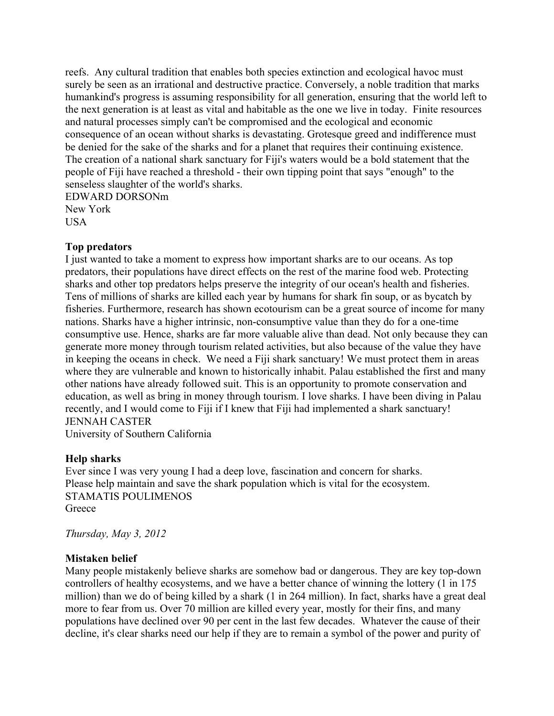reefs. Any cultural tradition that enables both species extinction and ecological havoc must surely be seen as an irrational and destructive practice. Conversely, a noble tradition that marks humankind's progress is assuming responsibility for all generation, ensuring that the world left to the next generation is at least as vital and habitable as the one we live in today. Finite resources and natural processes simply can't be compromised and the ecological and economic consequence of an ocean without sharks is devastating. Grotesque greed and indifference must be denied for the sake of the sharks and for a planet that requires their continuing existence. The creation of a national shark sanctuary for Fiji's waters would be a bold statement that the people of Fiji have reached a threshold - their own tipping point that says "enough" to the senseless slaughter of the world's sharks. EDWARD DORSONm

New York USA

## **Top predators**

I just wanted to take a moment to express how important sharks are to our oceans. As top predators, their populations have direct effects on the rest of the marine food web. Protecting sharks and other top predators helps preserve the integrity of our ocean's health and fisheries. Tens of millions of sharks are killed each year by humans for shark fin soup, or as bycatch by fisheries. Furthermore, research has shown ecotourism can be a great source of income for many nations. Sharks have a higher intrinsic, non-consumptive value than they do for a one-time consumptive use. Hence, sharks are far more valuable alive than dead. Not only because they can generate more money through tourism related activities, but also because of the value they have in keeping the oceans in check. We need a Fiji shark sanctuary! We must protect them in areas where they are vulnerable and known to historically inhabit. Palau established the first and many other nations have already followed suit. This is an opportunity to promote conservation and education, as well as bring in money through tourism. I love sharks. I have been diving in Palau recently, and I would come to Fiji if I knew that Fiji had implemented a shark sanctuary! JENNAH CASTER

University of Southern California

### **Help sharks**

Ever since I was very young I had a deep love, fascination and concern for sharks. Please help maintain and save the shark population which is vital for the ecosystem. STAMATIS POULIMENOS **Greece** 

*Thursday, May 3, 2012*

### **Mistaken belief**

Many people mistakenly believe sharks are somehow bad or dangerous. They are key top-down controllers of healthy ecosystems, and we have a better chance of winning the lottery (1 in 175 million) than we do of being killed by a shark (1 in 264 million). In fact, sharks have a great deal more to fear from us. Over 70 million are killed every year, mostly for their fins, and many populations have declined over 90 per cent in the last few decades. Whatever the cause of their decline, it's clear sharks need our help if they are to remain a symbol of the power and purity of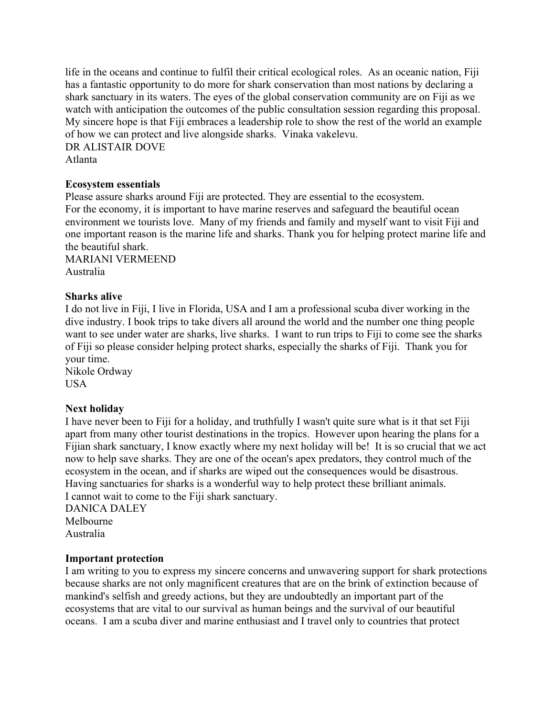life in the oceans and continue to fulfil their critical ecological roles. As an oceanic nation, Fiji has a fantastic opportunity to do more for shark conservation than most nations by declaring a shark sanctuary in its waters. The eyes of the global conservation community are on Fiji as we watch with anticipation the outcomes of the public consultation session regarding this proposal. My sincere hope is that Fiji embraces a leadership role to show the rest of the world an example of how we can protect and live alongside sharks. Vinaka vakelevu. DR ALISTAIR DOVE

Atlanta

### **Ecosystem essentials**

Please assure sharks around Fiji are protected. They are essential to the ecosystem. For the economy, it is important to have marine reserves and safeguard the beautiful ocean environment we tourists love. Many of my friends and family and myself want to visit Fiji and one important reason is the marine life and sharks. Thank you for helping protect marine life and the beautiful shark.

MARIANI VERMEEND Australia

## **Sharks alive**

I do not live in Fiji, I live in Florida, USA and I am a professional scuba diver working in the dive industry. I book trips to take divers all around the world and the number one thing people want to see under water are sharks, live sharks. I want to run trips to Fiji to come see the sharks of Fiji so please consider helping protect sharks, especially the sharks of Fiji. Thank you for your time.

Nikole Ordway USA

# **Next holiday**

I have never been to Fiji for a holiday, and truthfully I wasn't quite sure what is it that set Fiji apart from many other tourist destinations in the tropics. However upon hearing the plans for a Fijian shark sanctuary, I know exactly where my next holiday will be! It is so crucial that we act now to help save sharks. They are one of the ocean's apex predators, they control much of the ecosystem in the ocean, and if sharks are wiped out the consequences would be disastrous. Having sanctuaries for sharks is a wonderful way to help protect these brilliant animals. I cannot wait to come to the Fiji shark sanctuary.

DANICA DALEY Melbourne Australia

### **Important protection**

I am writing to you to express my sincere concerns and unwavering support for shark protections because sharks are not only magnificent creatures that are on the brink of extinction because of mankind's selfish and greedy actions, but they are undoubtedly an important part of the ecosystems that are vital to our survival as human beings and the survival of our beautiful oceans. I am a scuba diver and marine enthusiast and I travel only to countries that protect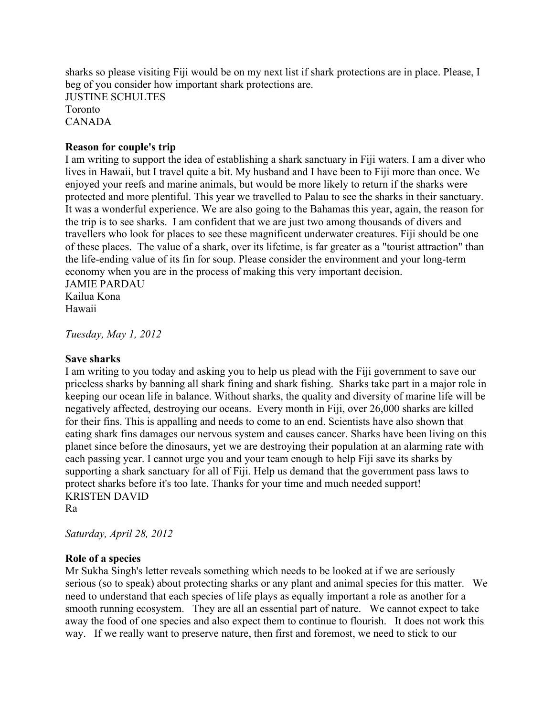sharks so please visiting Fiji would be on my next list if shark protections are in place. Please, I beg of you consider how important shark protections are. JUSTINE SCHULTES Toronto CANADA

### **Reason for couple's trip**

I am writing to support the idea of establishing a shark sanctuary in Fiji waters. I am a diver who lives in Hawaii, but I travel quite a bit. My husband and I have been to Fiji more than once. We enjoyed your reefs and marine animals, but would be more likely to return if the sharks were protected and more plentiful. This year we travelled to Palau to see the sharks in their sanctuary. It was a wonderful experience. We are also going to the Bahamas this year, again, the reason for the trip is to see sharks. I am confident that we are just two among thousands of divers and travellers who look for places to see these magnificent underwater creatures. Fiji should be one of these places. The value of a shark, over its lifetime, is far greater as a "tourist attraction" than the life-ending value of its fin for soup. Please consider the environment and your long-term economy when you are in the process of making this very important decision. JAMIE PARDAU

Kailua Kona Hawaii

*Tuesday, May 1, 2012*

#### **Save sharks**

I am writing to you today and asking you to help us plead with the Fiji government to save our priceless sharks by banning all shark fining and shark fishing. Sharks take part in a major role in keeping our ocean life in balance. Without sharks, the quality and diversity of marine life will be negatively affected, destroying our oceans. Every month in Fiji, over 26,000 sharks are killed for their fins. This is appalling and needs to come to an end. Scientists have also shown that eating shark fins damages our nervous system and causes cancer. Sharks have been living on this planet since before the dinosaurs, yet we are destroying their population at an alarming rate with each passing year. I cannot urge you and your team enough to help Fiji save its sharks by supporting a shark sanctuary for all of Fiji. Help us demand that the government pass laws to protect sharks before it's too late. Thanks for your time and much needed support! KRISTEN DAVID Ra

*Saturday, April 28, 2012*

### **Role of a species**

Mr Sukha Singh's letter reveals something which needs to be looked at if we are seriously serious (so to speak) about protecting sharks or any plant and animal species for this matter. We need to understand that each species of life plays as equally important a role as another for a smooth running ecosystem. They are all an essential part of nature. We cannot expect to take away the food of one species and also expect them to continue to flourish. It does not work this way. If we really want to preserve nature, then first and foremost, we need to stick to our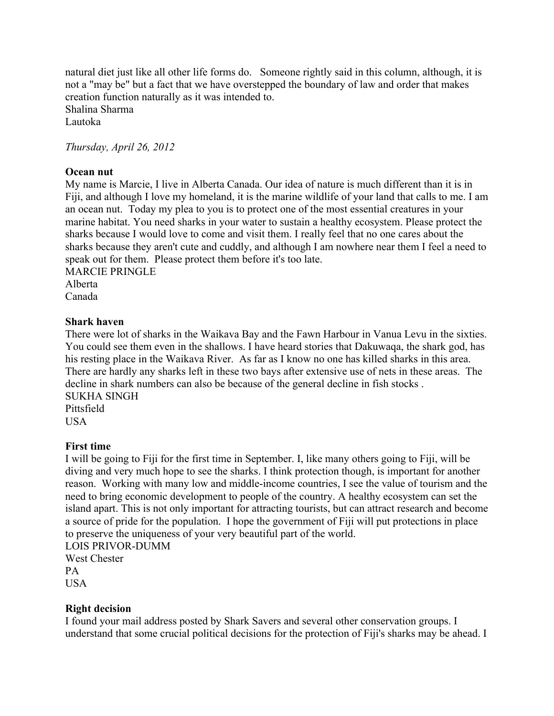natural diet just like all other life forms do. Someone rightly said in this column, although, it is not a "may be" but a fact that we have overstepped the boundary of law and order that makes creation function naturally as it was intended to.

Shalina Sharma Lautoka

*Thursday, April 26, 2012*

# **Ocean nut**

My name is Marcie, I live in Alberta Canada. Our idea of nature is much different than it is in Fiji, and although I love my homeland, it is the marine wildlife of your land that calls to me. I am an ocean nut. Today my plea to you is to protect one of the most essential creatures in your marine habitat. You need sharks in your water to sustain a healthy ecosystem. Please protect the sharks because I would love to come and visit them. I really feel that no one cares about the sharks because they aren't cute and cuddly, and although I am nowhere near them I feel a need to speak out for them. Please protect them before it's too late.

MARCIE PRINGLE Alberta Canada

### **Shark haven**

There were lot of sharks in the Waikava Bay and the Fawn Harbour in Vanua Levu in the sixties. You could see them even in the shallows. I have heard stories that Dakuwaqa, the shark god, has his resting place in the Waikava River. As far as I know no one has killed sharks in this area. There are hardly any sharks left in these two bays after extensive use of nets in these areas. The decline in shark numbers can also be because of the general decline in fish stocks . SUKHA SINGH Pittsfield

USA

# **First time**

I will be going to Fiji for the first time in September. I, like many others going to Fiji, will be diving and very much hope to see the sharks. I think protection though, is important for another reason. Working with many low and middle-income countries, I see the value of tourism and the need to bring economic development to people of the country. A healthy ecosystem can set the island apart. This is not only important for attracting tourists, but can attract research and become a source of pride for the population. I hope the government of Fiji will put protections in place to preserve the uniqueness of your very beautiful part of the world.

LOIS PRIVOR-DUMM West Chester PA USA

### **Right decision**

I found your mail address posted by Shark Savers and several other conservation groups. I understand that some crucial political decisions for the protection of Fiji's sharks may be ahead. I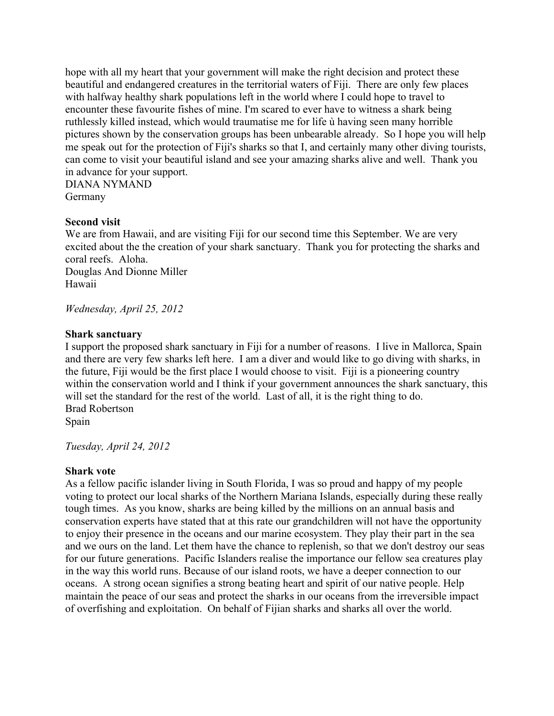hope with all my heart that your government will make the right decision and protect these beautiful and endangered creatures in the territorial waters of Fiji. There are only few places with halfway healthy shark populations left in the world where I could hope to travel to encounter these favourite fishes of mine. I'm scared to ever have to witness a shark being ruthlessly killed instead, which would traumatise me for life ù having seen many horrible pictures shown by the conservation groups has been unbearable already. So I hope you will help me speak out for the protection of Fiji's sharks so that I, and certainly many other diving tourists, can come to visit your beautiful island and see your amazing sharks alive and well. Thank you in advance for your support. DIANA NYMAND

Germany

### **Second visit**

We are from Hawaii, and are visiting Fiji for our second time this September. We are very excited about the the creation of your shark sanctuary. Thank you for protecting the sharks and coral reefs. Aloha. Douglas And Dionne Miller

Hawaii

*Wednesday, April 25, 2012*

### **Shark sanctuary**

I support the proposed shark sanctuary in Fiji for a number of reasons. I live in Mallorca, Spain and there are very few sharks left here. I am a diver and would like to go diving with sharks, in the future, Fiji would be the first place I would choose to visit. Fiji is a pioneering country within the conservation world and I think if your government announces the shark sanctuary, this will set the standard for the rest of the world. Last of all, it is the right thing to do. Brad Robertson

Spain

*Tuesday, April 24, 2012*

### **Shark vote**

As a fellow pacific islander living in South Florida, I was so proud and happy of my people voting to protect our local sharks of the Northern Mariana Islands, especially during these really tough times. As you know, sharks are being killed by the millions on an annual basis and conservation experts have stated that at this rate our grandchildren will not have the opportunity to enjoy their presence in the oceans and our marine ecosystem. They play their part in the sea and we ours on the land. Let them have the chance to replenish, so that we don't destroy our seas for our future generations. Pacific Islanders realise the importance our fellow sea creatures play in the way this world runs. Because of our island roots, we have a deeper connection to our oceans. A strong ocean signifies a strong beating heart and spirit of our native people. Help maintain the peace of our seas and protect the sharks in our oceans from the irreversible impact of overfishing and exploitation. On behalf of Fijian sharks and sharks all over the world.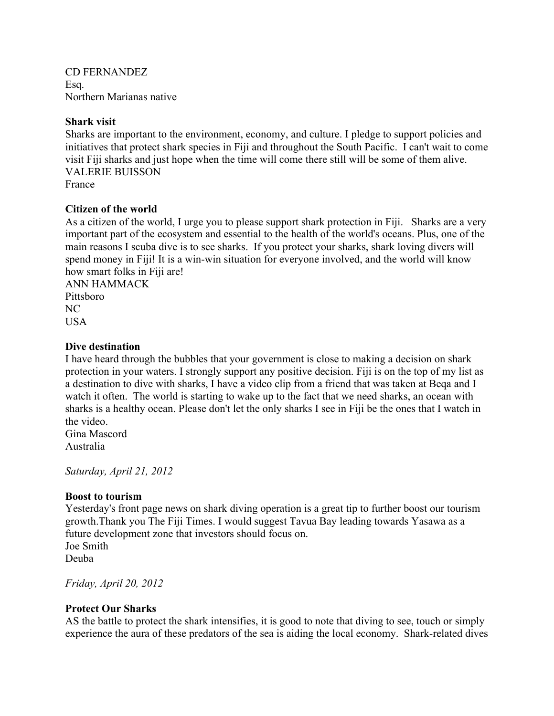CD FERNANDEZ Esq. Northern Marianas native

### **Shark visit**

Sharks are important to the environment, economy, and culture. I pledge to support policies and initiatives that protect shark species in Fiji and throughout the South Pacific. I can't wait to come visit Fiji sharks and just hope when the time will come there still will be some of them alive. VALERIE BUISSON France

### **Citizen of the world**

As a citizen of the world, I urge you to please support shark protection in Fiji. Sharks are a very important part of the ecosystem and essential to the health of the world's oceans. Plus, one of the main reasons I scuba dive is to see sharks. If you protect your sharks, shark loving divers will spend money in Fiji! It is a win-win situation for everyone involved, and the world will know how smart folks in Fiji are!

ANN HAMMACK Pittsboro NC **USA** 

### **Dive destination**

I have heard through the bubbles that your government is close to making a decision on shark protection in your waters. I strongly support any positive decision. Fiji is on the top of my list as a destination to dive with sharks, I have a video clip from a friend that was taken at Beqa and I watch it often. The world is starting to wake up to the fact that we need sharks, an ocean with sharks is a healthy ocean. Please don't let the only sharks I see in Fiji be the ones that I watch in the video.

Gina Mascord Australia

*Saturday, April 21, 2012*

#### **Boost to tourism**

Yesterday's front page news on shark diving operation is a great tip to further boost our tourism growth.Thank you The Fiji Times. I would suggest Tavua Bay leading towards Yasawa as a future development zone that investors should focus on.

Joe Smith Deuba

*Friday, April 20, 2012*

### **Protect Our Sharks**

AS the battle to protect the shark intensifies, it is good to note that diving to see, touch or simply experience the aura of these predators of the sea is aiding the local economy. Shark-related dives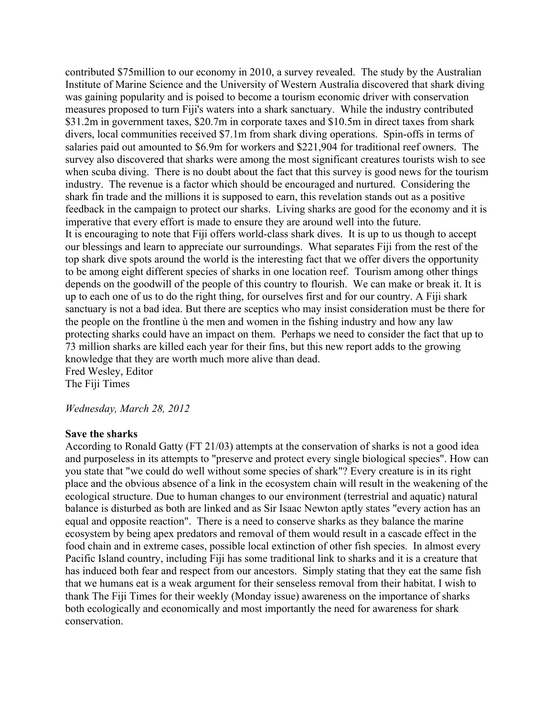contributed \$75million to our economy in 2010, a survey revealed. The study by the Australian Institute of Marine Science and the University of Western Australia discovered that shark diving was gaining popularity and is poised to become a tourism economic driver with conservation measures proposed to turn Fiji's waters into a shark sanctuary. While the industry contributed \$31.2m in government taxes, \$20.7m in corporate taxes and \$10.5m in direct taxes from shark divers, local communities received \$7.1m from shark diving operations. Spin-offs in terms of salaries paid out amounted to \$6.9m for workers and \$221,904 for traditional reef owners. The survey also discovered that sharks were among the most significant creatures tourists wish to see when scuba diving. There is no doubt about the fact that this survey is good news for the tourism industry. The revenue is a factor which should be encouraged and nurtured. Considering the shark fin trade and the millions it is supposed to earn, this revelation stands out as a positive feedback in the campaign to protect our sharks. Living sharks are good for the economy and it is imperative that every effort is made to ensure they are around well into the future. It is encouraging to note that Fiji offers world-class shark dives. It is up to us though to accept our blessings and learn to appreciate our surroundings. What separates Fiji from the rest of the top shark dive spots around the world is the interesting fact that we offer divers the opportunity to be among eight different species of sharks in one location reef. Tourism among other things depends on the goodwill of the people of this country to flourish. We can make or break it. It is up to each one of us to do the right thing, for ourselves first and for our country. A Fiji shark sanctuary is not a bad idea. But there are sceptics who may insist consideration must be there for the people on the frontline ù the men and women in the fishing industry and how any law protecting sharks could have an impact on them. Perhaps we need to consider the fact that up to 73 million sharks are killed each year for their fins, but this new report adds to the growing knowledge that they are worth much more alive than dead. Fred Wesley, Editor The Fiji Times

*Wednesday, March 28, 2012*

#### **Save the sharks**

According to Ronald Gatty (FT 21/03) attempts at the conservation of sharks is not a good idea and purposeless in its attempts to "preserve and protect every single biological species". How can you state that "we could do well without some species of shark"? Every creature is in its right place and the obvious absence of a link in the ecosystem chain will result in the weakening of the ecological structure. Due to human changes to our environment (terrestrial and aquatic) natural balance is disturbed as both are linked and as Sir Isaac Newton aptly states "every action has an equal and opposite reaction". There is a need to conserve sharks as they balance the marine ecosystem by being apex predators and removal of them would result in a cascade effect in the food chain and in extreme cases, possible local extinction of other fish species. In almost every Pacific Island country, including Fiji has some traditional link to sharks and it is a creature that has induced both fear and respect from our ancestors. Simply stating that they eat the same fish that we humans eat is a weak argument for their senseless removal from their habitat. I wish to thank The Fiji Times for their weekly (Monday issue) awareness on the importance of sharks both ecologically and economically and most importantly the need for awareness for shark conservation.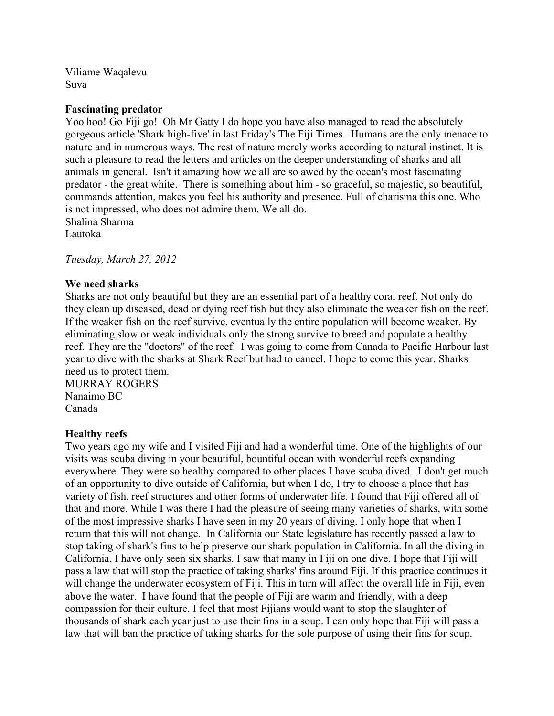Viliame Waqalevu Suva

## **Fascinating predator**

Yoo hoo! Go Fiji go! Oh Mr Gatty I do hope you have also managed to read the absolutely gorgeous article 'Shark high-five' in last Friday's The Fiji Times. Humans are the only menace to nature and in numerous ways. The rest of nature merely works according to natural instinct. It is such a pleasure to read the letters and articles on the deeper understanding of sharks and all animals in general. Isn't it amazing how we all are so awed by the ocean's most fascinating predator - the great white. There is something about him - so graceful, so majestic, so beautiful, commands attention, makes you feel his authority and presence. Full of charisma this one. Who is not impressed, who does not admire them. We all do. Shalina Sharma Lautoka

*Tuesday, March 27, 2012*

## **We need sharks**

Sharks are not only beautiful but they are an essential part of a healthy coral reef. Not only do they clean up diseased, dead or dying reef fish but they also eliminate the weaker fish on the reef. If the weaker fish on the reef survive, eventually the entire population will become weaker. By eliminating slow or weak individuals only the strong survive to breed and populate a healthy reef. They are the "doctors" of the reef. I was going to come from Canada to Pacific Harbour last year to dive with the sharks at Shark Reef but had to cancel. I hope to come this year. Sharks need us to protect them.

MURRAY ROGERS Nanaimo BC Canada

### **Healthy reefs**

Two years ago my wife and I visited Fiji and had a wonderful time. One of the highlights of our visits was scuba diving in your beautiful, bountiful ocean with wonderful reefs expanding everywhere. They were so healthy compared to other places I have scuba dived. I don't get much of an opportunity to dive outside of California, but when I do, I try to choose a place that has variety of fish, reef structures and other forms of underwater life. I found that Fiji offered all of that and more. While I was there I had the pleasure of seeing many varieties of sharks, with some of the most impressive sharks I have seen in my 20 years of diving. I only hope that when I return that this will not change. In California our State legislature has recently passed a law to stop taking of shark's fins to help preserve our shark population in California. In all the diving in California, I have only seen six sharks. I saw that many in Fiji on one dive. I hope that Fiji will pass a law that will stop the practice of taking sharks' fins around Fiji. If this practice continues it will change the underwater ecosystem of Fiji. This in turn will affect the overall life in Fiji, even above the water. I have found that the people of Fiji are warm and friendly, with a deep compassion for their culture. I feel that most Fijians would want to stop the slaughter of thousands of shark each year just to use their fins in a soup. I can only hope that Fiji will pass a law that will ban the practice of taking sharks for the sole purpose of using their fins for soup.